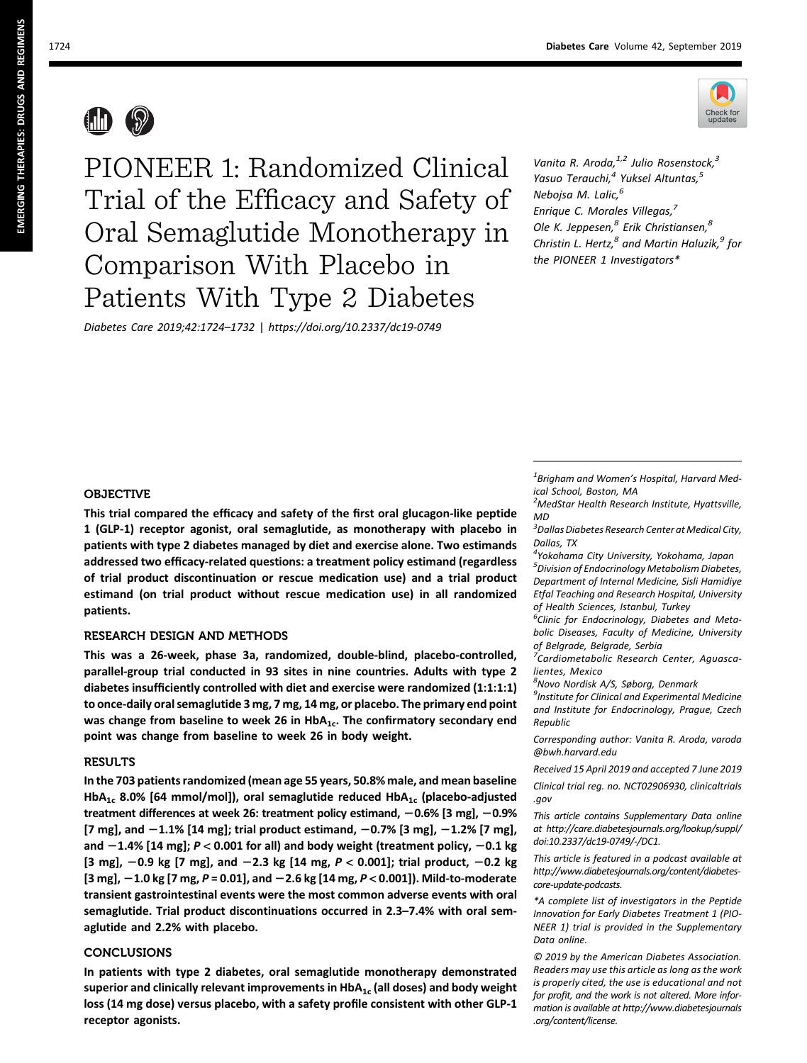

 $\binom{1}{2}$ 

PIONEER 1: Randomized Clinical Trial of the Efficacy and Safety of Oral Semaglutide Monotherapy in Comparison With Placebo in Patients With Type 2 Diabetes

Diabetes Care 2019;42:1724–1732 | https://doi.org/10.2337/dc19-0749

Vanita R. Aroda, $1,2$  Julio Rosenstock, $3$ Yasuo Terauchi,<sup>4</sup> Yuksel Altuntas,<sup>5</sup> Nebojsa M. Lalic,<sup>6</sup> Enrique C. Morales Villegas,<sup>7</sup> Ole K. Jeppesen,<sup>8</sup> Erik Christiansen,<sup>8</sup> Christin L. Hertz,<sup>8</sup> and Martin Haluzík,<sup>9</sup> for the PIONEER 1 Investigators\*

## OBJECTIVE

This trial compared the efficacy and safety of the first oral glucagon-like peptide 1 (GLP-1) receptor agonist, oral semaglutide, as monotherapy with placebo in patients with type 2 diabetes managed by diet and exercise alone. Two estimands addressed two efficacy-related questions: a treatment policy estimand (regardless of trial product discontinuation or rescue medication use) and a trial product estimand (on trial product without rescue medication use) in all randomized patients.

## RESEARCH DESIGN AND METHODS

This was a 26-week, phase 3a, randomized, double-blind, placebo-controlled, parallel-group trial conducted in 93 sites in nine countries. Adults with type 2 diabetes insufficiently controlled with diet and exercise were randomized (1:1:1:1) to once-daily oral semaglutide 3 mg, 7 mg, 14 mg, or placebo. The primary end point was change from baseline to week 26 in  $HbA_{1c}$ . The confirmatory secondary end point was change from baseline to week 26 in body weight.

## RESULTS

In the 703 patients randomized (mean age 55 years, 50.8% male, and mean baseline HbA<sub>1c</sub> 8.0% [64 mmol/mol]), oral semaglutide reduced HbA<sub>1c</sub> (placebo-adjusted treatment differences at week 26: treatment policy estimand,  $-0.6\%$  [3 mg],  $-0.9\%$  $[7 \text{ mg}]$ , and  $-1.1\%$   $[14 \text{ mg}]$ ; trial product estimand,  $-0.7\%$   $[3 \text{ mg}]$ ,  $-1.2\%$   $[7 \text{ mg}]$ , and  $-1.4\%$  [14 mg]; P < 0.001 for all) and body weight (treatment policy,  $-0.1$  kg  $[3 \text{ mg}]$ ,  $-0.9 \text{ kg}$   $[7 \text{ mg}]$ , and  $-2.3 \text{ kg}$   $[14 \text{ mg}, P < 0.001]$ ; trial product,  $-0.2 \text{ kg}$  $[3 \text{ mg}]$ ,  $-1.0$  kg  $[7 \text{ mg}, P = 0.01]$ , and  $-2.6$  kg  $[14 \text{ mg}, P < 0.001]$ ). Mild-to-moderate transient gastrointestinal events were the most common adverse events with oral semaglutide. Trial product discontinuations occurred in 2.3–7.4% with oral semaglutide and 2.2% with placebo.

## **CONCLUSIONS**

In patients with type 2 diabetes, oral semaglutide monotherapy demonstrated superior and clinically relevant improvements in  $HbA_{1c}$  (all doses) and body weight loss (14 mg dose) versus placebo, with a safety profile consistent with other GLP-1 receptor agonists.

<sup>1</sup>Brigham and Women's Hospital, Harvard Medical School, Boston, MA

<sup>2</sup>MedStar Health Research Institute, Hyattsville, MD

<sup>3</sup> Dallas Diabetes Research Center at Medical City, Dallas, TX

4 Yokohama City University, Yokohama, Japan 5 Division of Endocrinology Metabolism Diabetes, Department of Internal Medicine, Sisli Hamidiye Etfal Teaching and Research Hospital, University of Health Sciences, Istanbul, Turkey

 $\overline{6}$ Clinic for Endocrinology, Diabetes and Metabolic Diseases, Faculty of Medicine, University of Belgrade, Belgrade, Serbia

<sup>7</sup> Cardiometabolic Research Center, Aguascalientes, Mexico

<sup>8</sup>Novo Nordisk A/S, Søborg, Denmark

 $<sup>9</sup>$ Institute for Clinical and Experimental Medicine</sup> and Institute for Endocrinology, Prague, Czech Republic

Corresponding author: Vanita R. Aroda, varoda @bwh.harvard.edu

Received 15 April 2019 and accepted 7 June 2019

Clinical trial reg. no. NCT02906930, clinicaltrials .gov

This article contains Supplementary Data online at http://care.diabetesjournals.org/lookup/suppl/ doi:10.2337/dc19-0749/-/DC1.

This article is featured in a podcast available at http://www.diabetesjournals.org/content/diabetescore-update-podcasts.

\*A complete list of investigators in the Peptide Innovation for Early Diabetes Treatment 1 (PIO-NEER 1) trial is provided in the Supplementary Data online.

© 2019 by the American Diabetes Association. Readers may use this article as long as the work is properly cited, the use is educational and not for profit, and the work is not altered. More information is available at http://www.diabetesjournals .org/content/license.

emerging therapies: Drugs and regimens EMERGING THERAPIES: DRUGS AND REGIMENS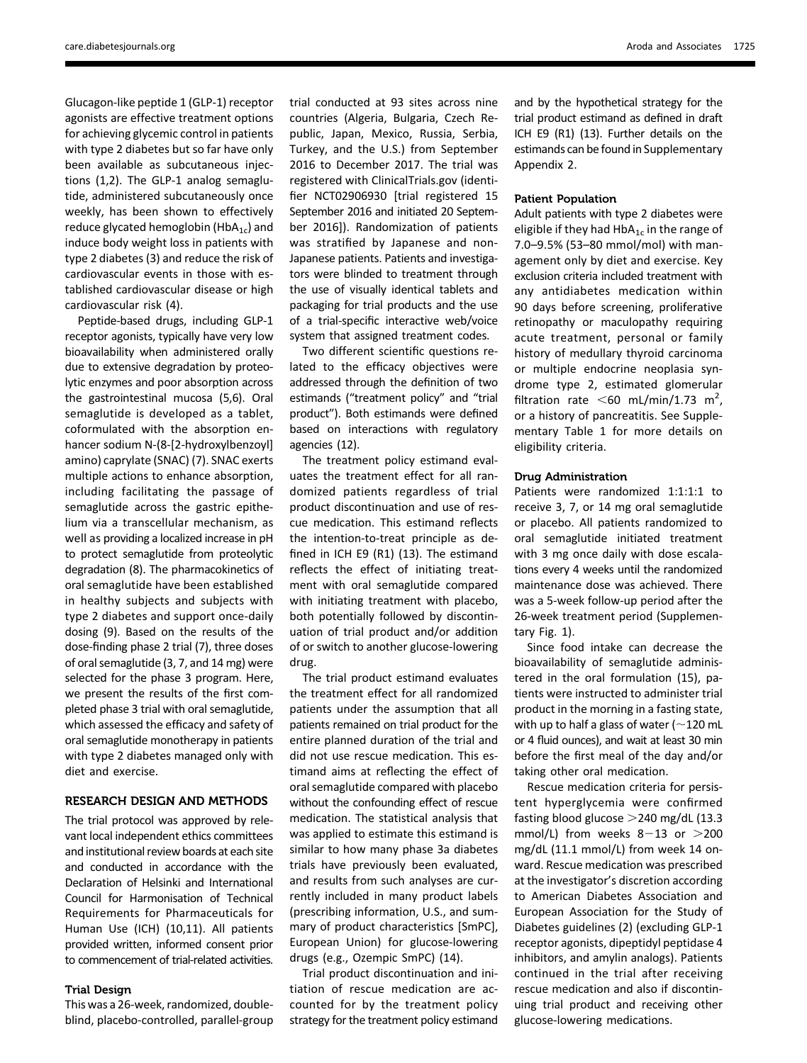Glucagon-like peptide 1 (GLP-1) receptor agonists are effective treatment options for achieving glycemic control in patients with type 2 diabetes but so far have only been available as subcutaneous injections (1,2). The GLP-1 analog semaglutide, administered subcutaneously once weekly, has been shown to effectively reduce glycated hemoglobin ( $HbA_{1c}$ ) and induce body weight loss in patients with type 2 diabetes (3) and reduce the risk of cardiovascular events in those with established cardiovascular disease or high cardiovascular risk (4).

Peptide-based drugs, including GLP-1 receptor agonists, typically have very low bioavailability when administered orally due to extensive degradation by proteolytic enzymes and poor absorption across the gastrointestinal mucosa (5,6). Oral semaglutide is developed as a tablet, coformulated with the absorption enhancer sodium N-(8-[2-hydroxylbenzoyl] amino) caprylate (SNAC) (7). SNAC exerts multiple actions to enhance absorption, including facilitating the passage of semaglutide across the gastric epithelium via a transcellular mechanism, as well as providing a localized increase in pH to protect semaglutide from proteolytic degradation (8). The pharmacokinetics of oral semaglutide have been established in healthy subjects and subjects with type 2 diabetes and support once-daily dosing (9). Based on the results of the dose-finding phase 2 trial (7), three doses of oral semaglutide (3, 7, and 14 mg) were selected for the phase 3 program. Here, we present the results of the first completed phase 3 trial with oral semaglutide, which assessed the efficacy and safety of oral semaglutide monotherapy in patients with type 2 diabetes managed only with diet and exercise.

# RESEARCH DESIGN AND METHODS

The trial protocol was approved by relevant local independent ethics committees and institutional review boards at each site and conducted in accordance with the Declaration of Helsinki and International Council for Harmonisation of Technical Requirements for Pharmaceuticals for Human Use (ICH) (10,11). All patients provided written, informed consent prior to commencement of trial-related activities.

#### Trial Design

This was a 26-week, randomized, doubleblind, placebo-controlled, parallel-group

trial conducted at 93 sites across nine countries (Algeria, Bulgaria, Czech Republic, Japan, Mexico, Russia, Serbia, Turkey, and the U.S.) from September 2016 to December 2017. The trial was registered with ClinicalTrials.gov (identifier NCT02906930 [trial registered 15 September 2016 and initiated 20 September 2016]). Randomization of patients was stratified by Japanese and non-Japanese patients. Patients and investigators were blinded to treatment through the use of visually identical tablets and packaging for trial products and the use of a trial-specific interactive web/voice system that assigned treatment codes.

Two different scientific questions related to the efficacy objectives were addressed through the definition of two estimands ("treatment policy" and "trial product"). Both estimands were defined based on interactions with regulatory agencies (12).

The treatment policy estimand evaluates the treatment effect for all randomized patients regardless of trial product discontinuation and use of rescue medication. This estimand reflects the intention-to-treat principle as defined in ICH E9 (R1) (13). The estimand reflects the effect of initiating treatment with oral semaglutide compared with initiating treatment with placebo, both potentially followed by discontinuation of trial product and/or addition of or switch to another glucose-lowering drug.

The trial product estimand evaluates the treatment effect for all randomized patients under the assumption that all patients remained on trial product for the entire planned duration of the trial and did not use rescue medication. This estimand aims at reflecting the effect of oral semaglutide compared with placebo without the confounding effect of rescue medication. The statistical analysis that was applied to estimate this estimand is similar to how many phase 3a diabetes trials have previously been evaluated, and results from such analyses are currently included in many product labels (prescribing information, U.S., and summary of product characteristics [SmPC], European Union) for glucose-lowering drugs (e.g., Ozempic SmPC) (14).

Trial product discontinuation and initiation of rescue medication are accounted for by the treatment policy strategy for the treatment policy estimand

and by the hypothetical strategy for the trial product estimand as defined in draft ICH E9 (R1) (13). Further details on the estimands can be found in Supplementary Appendix 2.

#### Patient Population

Adult patients with type 2 diabetes were eligible if they had  $HbA_{1c}$  in the range of 7.0–9.5% (53–80 mmol/mol) with management only by diet and exercise. Key exclusion criteria included treatment with any antidiabetes medication within 90 days before screening, proliferative retinopathy or maculopathy requiring acute treatment, personal or family history of medullary thyroid carcinoma or multiple endocrine neoplasia syndrome type 2, estimated glomerular filtration rate  $\leq 60$  mL/min/1.73 m<sup>2</sup>, or a history of pancreatitis. See Supplementary Table 1 for more details on eligibility criteria.

#### Drug Administration

Patients were randomized 1:1:1:1 to receive 3, 7, or 14 mg oral semaglutide or placebo. All patients randomized to oral semaglutide initiated treatment with 3 mg once daily with dose escalations every 4 weeks until the randomized maintenance dose was achieved. There was a 5-week follow-up period after the 26-week treatment period (Supplementary Fig. 1).

Since food intake can decrease the bioavailability of semaglutide administered in the oral formulation (15), patients were instructed to administer trial product in the morning in a fasting state, with up to half a glass of water ( $\sim$ 120 mL or 4 fluid ounces), and wait at least 30 min before the first meal of the day and/or taking other oral medication.

Rescue medication criteria for persistent hyperglycemia were confirmed fasting blood glucose  $>$  240 mg/dL (13.3) mmol/L) from weeks  $8-13$  or  $>200$ mg/dL (11.1 mmol/L) from week 14 onward. Rescue medication was prescribed at the investigator's discretion according to American Diabetes Association and European Association for the Study of Diabetes guidelines (2) (excluding GLP-1 receptor agonists, dipeptidyl peptidase 4 inhibitors, and amylin analogs). Patients continued in the trial after receiving rescue medication and also if discontinuing trial product and receiving other glucose-lowering medications.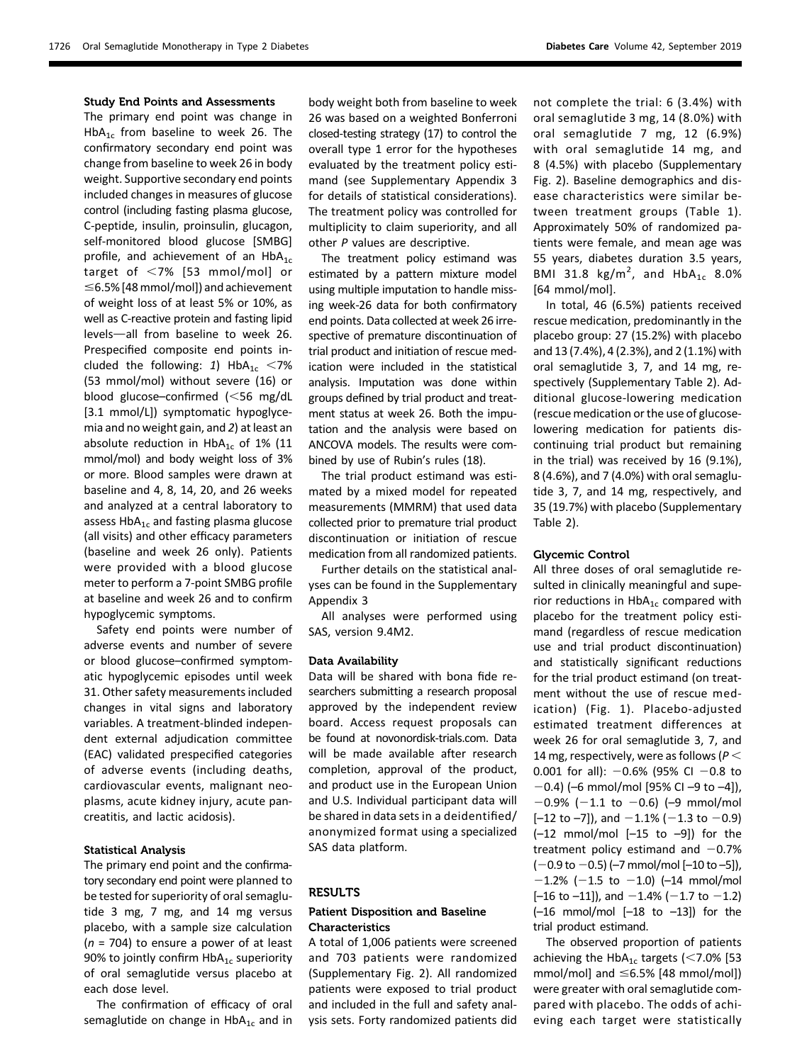#### Study End Points and Assessments

The primary end point was change in HbA<sub>1c</sub> from baseline to week 26. The confirmatory secondary end point was change from baseline to week 26 in body weight. Supportive secondary end points included changes in measures of glucose control (including fasting plasma glucose, C-peptide, insulin, proinsulin, glucagon, self-monitored blood glucose [SMBG] profile, and achievement of an  $HbA_{1c}$ target of  $<$ 7% [53 mmol/mol] or  $\leq$ 6.5% [48 mmol/mol]) and achievement of weight loss of at least 5% or 10%, as well as C-reactive protein and fasting lipid levels-all from baseline to week 26. Prespecified composite end points included the following: 1)  $HbA_{1c}$  <7% (53 mmol/mol) without severe (16) or blood glucose–confirmed  $\leq 56$  mg/dL [3.1 mmol/L]) symptomatic hypoglycemia and no weight gain, and 2) at least an absolute reduction in  $HbA_{1c}$  of 1% (11 mmol/mol) and body weight loss of 3% or more. Blood samples were drawn at baseline and 4, 8, 14, 20, and 26 weeks and analyzed at a central laboratory to assess  $HbA_{1c}$  and fasting plasma glucose (all visits) and other efficacy parameters (baseline and week 26 only). Patients were provided with a blood glucose meter to perform a 7-point SMBG profile at baseline and week 26 and to confirm hypoglycemic symptoms.

Safety end points were number of adverse events and number of severe or blood glucose–confirmed symptomatic hypoglycemic episodes until week 31. Other safety measurements included changes in vital signs and laboratory variables. A treatment-blinded independent external adjudication committee (EAC) validated prespecified categories of adverse events (including deaths, cardiovascular events, malignant neoplasms, acute kidney injury, acute pancreatitis, and lactic acidosis).

## Statistical Analysis

The primary end point and the confirmatory secondary end point were planned to be tested for superiority of oral semaglutide 3 mg, 7 mg, and 14 mg versus placebo, with a sample size calculation  $(n = 704)$  to ensure a power of at least 90% to jointly confirm  $HbA_{1c}$  superiority of oral semaglutide versus placebo at each dose level.

The confirmation of efficacy of oral semaglutide on change in  $HbA_{1c}$  and in

body weight both from baseline to week 26 was based on a weighted Bonferroni closed-testing strategy (17) to control the overall type 1 error for the hypotheses evaluated by the treatment policy estimand (see Supplementary Appendix 3 for details of statistical considerations). The treatment policy was controlled for multiplicity to claim superiority, and all other  $P$  values are descriptive.

The treatment policy estimand was estimated by a pattern mixture model using multiple imputation to handle missing week-26 data for both confirmatory end points. Data collected at week 26 irrespective of premature discontinuation of trial product and initiation of rescue medication were included in the statistical analysis. Imputation was done within groups defined by trial product and treatment status at week 26. Both the imputation and the analysis were based on ANCOVA models. The results were combined by use of Rubin's rules (18).

The trial product estimand was estimated by a mixed model for repeated measurements (MMRM) that used data collected prior to premature trial product discontinuation or initiation of rescue medication from all randomized patients.

Further details on the statistical analyses can be found in the Supplementary Appendix 3

All analyses were performed using SAS, version 9.4M2.

#### Data Availability

Data will be shared with bona fide researchers submitting a research proposal approved by the independent review board. Access request proposals can be found at novonordisk-trials.com. Data will be made available after research completion, approval of the product, and product use in the European Union and U.S. Individual participant data will be shared in data sets in a deidentified/ anonymized format using a specialized SAS data platform.

### RESULTS

## Patient Disposition and Baseline Characteristics

A total of 1,006 patients were screened and 703 patients were randomized (Supplementary Fig. 2). All randomized patients were exposed to trial product and included in the full and safety analysis sets. Forty randomized patients did

not complete the trial: 6 (3.4%) with oral semaglutide 3 mg, 14 (8.0%) with oral semaglutide 7 mg, 12 (6.9%) with oral semaglutide 14 mg, and 8 (4.5%) with placebo (Supplementary Fig. 2). Baseline demographics and disease characteristics were similar between treatment groups (Table 1). Approximately 50% of randomized patients were female, and mean age was 55 years, diabetes duration 3.5 years, BMI 31.8  $\text{kg/m}^2$ , and  $\text{HbA}_{1c}$  8.0% [64 mmol/mol].

In total, 46 (6.5%) patients received rescue medication, predominantly in the placebo group: 27 (15.2%) with placebo and 13 (7.4%), 4 (2.3%), and 2 (1.1%) with oral semaglutide 3, 7, and 14 mg, respectively (Supplementary Table 2). Additional glucose-lowering medication (rescue medication or the use of glucoselowering medication for patients discontinuing trial product but remaining in the trial) was received by 16 (9.1%), 8 (4.6%), and 7 (4.0%) with oral semaglutide 3, 7, and 14 mg, respectively, and 35 (19.7%) with placebo (Supplementary Table 2).

#### Glycemic Control

All three doses of oral semaglutide resulted in clinically meaningful and superior reductions in  $HbA_{1c}$  compared with placebo for the treatment policy estimand (regardless of rescue medication use and trial product discontinuation) and statistically significant reductions for the trial product estimand (on treatment without the use of rescue medication) (Fig. 1). Placebo-adjusted estimated treatment differences at week 26 for oral semaglutide 3, 7, and 14 mg, respectively, were as follows ( $P$   $<$ 0.001 for all):  $-0.6%$  (95% CI  $-0.8$  to  $-0.4$ ) (–6 mmol/mol [95% CI –9 to –4]),  $-0.9\%$  (-1.1 to -0.6) (-9 mmol/mol  $[-12$  to  $-7]$ ), and  $-1.1\%$  (-1.3 to  $-0.9$ )  $(-12 \text{ mmol/mol} [-15 \text{ to } -9])$  for the treatment policy estimand and  $-0.7%$  $(-0.9$  to  $-0.5)$  (-7 mmol/mol [-10 to -5]),  $-1.2\%$  (-1.5 to -1.0) (-14 mmol/mol  $[-16$  to  $-11]$ ), and  $-1.4\%$  (-1.7 to -1.2)  $(-16 \text{ mmol/mol} [-18 \text{ to } -13])$  for the trial product estimand.

The observed proportion of patients achieving the HbA<sub>1c</sub> targets (<7.0% [53 mmol/mol] and  $\leq$ 6.5% [48 mmol/mol]) were greater with oral semaglutide compared with placebo. The odds of achieving each target were statistically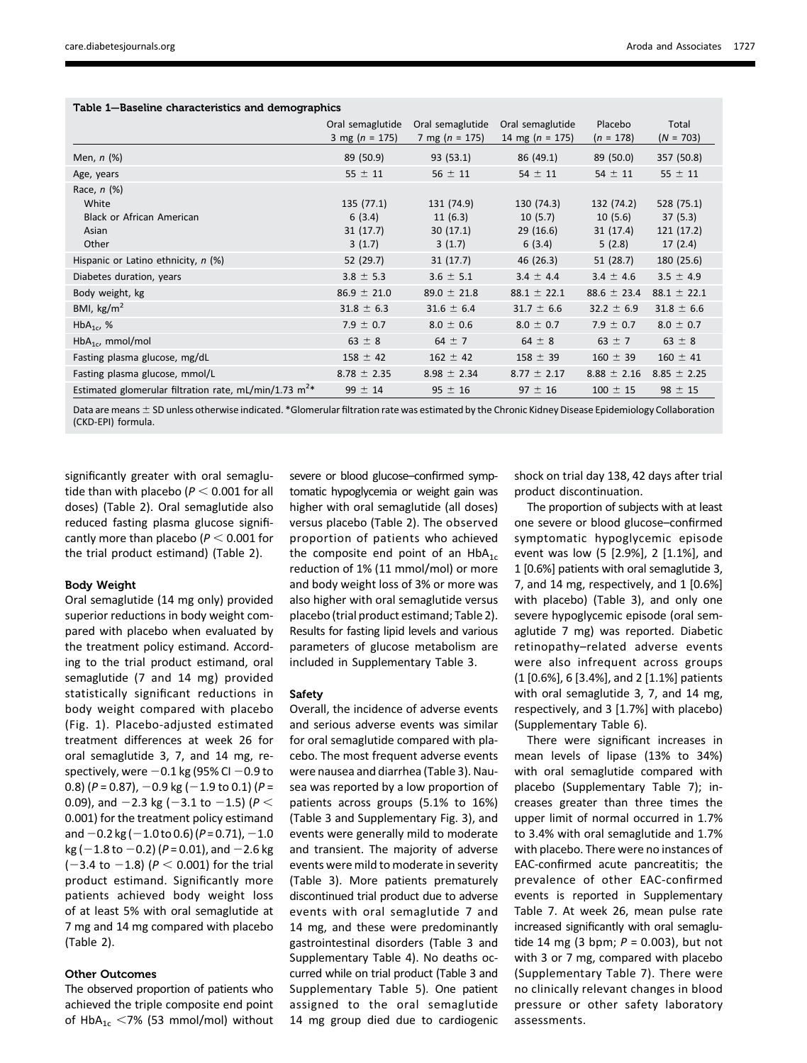| Table 1-Baseline characteristics and demographics |  |  |  |
|---------------------------------------------------|--|--|--|
|---------------------------------------------------|--|--|--|

|                                                                              | Oral semaglutide<br>3 mg ( $n = 175$ )    | Oral semaglutide<br>7 mg ( $n = 175$ )      | Oral semaglutide<br>14 mg ( $n = 175$ )     | Placebo<br>$(n = 178)$                      | Total<br>$(N = 703)$                          |
|------------------------------------------------------------------------------|-------------------------------------------|---------------------------------------------|---------------------------------------------|---------------------------------------------|-----------------------------------------------|
| Men, $n$ $(\%)$                                                              | 89 (50.9)                                 | 93 (53.1)                                   | 86 (49.1)                                   | 89 (50.0)                                   | 357 (50.8)                                    |
| Age, years                                                                   | $55 \pm 11$                               | $56 \pm 11$                                 | $54 \pm 11$                                 | $54 \pm 11$                                 | $55 \pm 11$                                   |
| Race, $n$ (%)<br>White<br><b>Black or African American</b><br>Asian<br>Other | 135(77.1)<br>6(3.4)<br>31(17.7)<br>3(1.7) | 131 (74.9)<br>11(6.3)<br>30(17.1)<br>3(1.7) | 130 (74.3)<br>10(5.7)<br>29(16.6)<br>6(3.4) | 132 (74.2)<br>10(5.6)<br>31(17.4)<br>5(2.8) | 528 (75.1)<br>37(5.3)<br>121(17.2)<br>17(2.4) |
| Hispanic or Latino ethnicity, n (%)                                          | 52 (29.7)                                 | 31(17.7)                                    | 46 (26.3)                                   | 51(28.7)                                    | 180 (25.6)                                    |
| Diabetes duration, years                                                     | $3.8 \pm 5.3$                             | $3.6 \pm 5.1$                               | $3.4 \pm 4.4$                               | $3.4 \pm 4.6$                               | $3.5 \pm 4.9$                                 |
| Body weight, kg                                                              | $86.9 \pm 21.0$                           | $89.0 \pm 21.8$                             | $88.1 \pm 22.1$                             | $88.6 \pm 23.4$                             | $88.1 \pm 22.1$                               |
| BMI, $\text{kg/m}^2$                                                         | $31.8 \pm 6.3$                            | $31.6 \pm 6.4$                              | $31.7 \pm 6.6$                              | $32.2 \pm 6.9$                              | $31.8 \pm 6.6$                                |
| $HbA_{1c}$ , %                                                               | $7.9 \pm 0.7$                             | $8.0 \pm 0.6$                               | $8.0 \pm 0.7$                               | $7.9 \pm 0.7$                               | $8.0 \pm 0.7$                                 |
| $HbA_{1c}$ , mmol/mol                                                        | $63 \pm 8$                                | $64 \pm 7$                                  | 64 $\pm$ 8                                  | $63 \pm 7$                                  | $63 \pm 8$                                    |
| Fasting plasma glucose, mg/dL                                                | $158 \pm 42$                              | $162 \pm 42$                                | $158 \pm 39$                                | $160 \pm 39$                                | $160 \pm 41$                                  |
| Fasting plasma glucose, mmol/L                                               | $8.78 \pm 2.35$                           | $8.98 \pm 2.34$                             | $8.77 \pm 2.17$                             | $8.88 \pm 2.16$                             | $8.85 \pm 2.25$                               |
| Estimated glomerular filtration rate, mL/min/1.73 $m^{2*}$                   | $99 \pm 14$                               | $95 \pm 16$                                 | $97 \pm 16$                                 | $100 \pm 15$                                | $98 \pm 15$                                   |

Data are means  $\pm$  SD unless otherwise indicated. \*Glomerular filtration rate was estimated by the Chronic Kidney Disease Epidemiology Collaboration (CKD-EPI) formula.

significantly greater with oral semaglutide than with placebo ( $P < 0.001$  for all doses) (Table 2). Oral semaglutide also reduced fasting plasma glucose significantly more than placebo ( $P < 0.001$  for the trial product estimand) (Table 2).

### Body Weight

Oral semaglutide (14 mg only) provided superior reductions in body weight compared with placebo when evaluated by the treatment policy estimand. According to the trial product estimand, oral semaglutide (7 and 14 mg) provided statistically significant reductions in body weight compared with placebo (Fig. 1). Placebo-adjusted estimated treatment differences at week 26 for oral semaglutide 3, 7, and 14 mg, respectively, were  $-0.1$  kg (95% CI  $-0.9$  to 0.8) ( $P = 0.87$ ),  $-0.9$  kg ( $-1.9$  to 0.1) ( $P =$ 0.09), and  $-2.3$  kg ( $-3.1$  to  $-1.5$ ) ( $P <$ 0.001) for the treatment policy estimand and  $-0.2$  kg ( $-1.0$  to 0.6) (P = 0.71),  $-1.0$  $kg (-1.8 to -0.2) (P = 0.01)$ , and  $-2.6$  kg  $(-3.4 \text{ to } -1.8)$  ( $P < 0.001$ ) for the trial product estimand. Significantly more patients achieved body weight loss of at least 5% with oral semaglutide at 7 mg and 14 mg compared with placebo (Table 2).

# Other Outcomes

The observed proportion of patients who achieved the triple composite end point of HbA<sub>1c</sub> <7% (53 mmol/mol) without severe or blood glucose–confirmed symptomatic hypoglycemia or weight gain was higher with oral semaglutide (all doses) versus placebo (Table 2). The observed proportion of patients who achieved the composite end point of an  $HbA_{1c}$ reduction of 1% (11 mmol/mol) or more and body weight loss of 3% or more was also higher with oral semaglutide versus placebo (trial product estimand; Table 2). Results for fasting lipid levels and various parameters of glucose metabolism are included in Supplementary Table 3.

### Safety

Overall, the incidence of adverse events and serious adverse events was similar for oral semaglutide compared with placebo. The most frequent adverse events were nausea and diarrhea (Table 3). Nausea was reported by a low proportion of patients across groups (5.1% to 16%) (Table 3 and Supplementary Fig. 3), and events were generally mild to moderate and transient. The majority of adverse events were mild to moderate in severity (Table 3). More patients prematurely discontinued trial product due to adverse events with oral semaglutide 7 and 14 mg, and these were predominantly gastrointestinal disorders (Table 3 and Supplementary Table 4). No deaths occurred while on trial product (Table 3 and Supplementary Table 5). One patient assigned to the oral semaglutide 14 mg group died due to cardiogenic shock on trial day 138, 42 days after trial product discontinuation.

The proportion of subjects with at least one severe or blood glucose–confirmed symptomatic hypoglycemic episode event was low (5 [2.9%], 2 [1.1%], and 1 [0.6%] patients with oral semaglutide 3, 7, and 14 mg, respectively, and 1 [0.6%] with placebo) (Table 3), and only one severe hypoglycemic episode (oral semaglutide 7 mg) was reported. Diabetic retinopathy–related adverse events were also infrequent across groups (1 [0.6%], 6 [3.4%], and 2 [1.1%] patients with oral semaglutide 3, 7, and 14 mg, respectively, and 3 [1.7%] with placebo) (Supplementary Table 6).

There were significant increases in mean levels of lipase (13% to 34%) with oral semaglutide compared with placebo (Supplementary Table 7); increases greater than three times the upper limit of normal occurred in 1.7% to 3.4% with oral semaglutide and 1.7% with placebo. There were no instances of EAC-confirmed acute pancreatitis; the prevalence of other EAC-confirmed events is reported in Supplementary Table 7. At week 26, mean pulse rate increased significantly with oral semaglutide 14 mg (3 bpm;  $P = 0.003$ ), but not with 3 or 7 mg, compared with placebo (Supplementary Table 7). There were no clinically relevant changes in blood pressure or other safety laboratory assessments.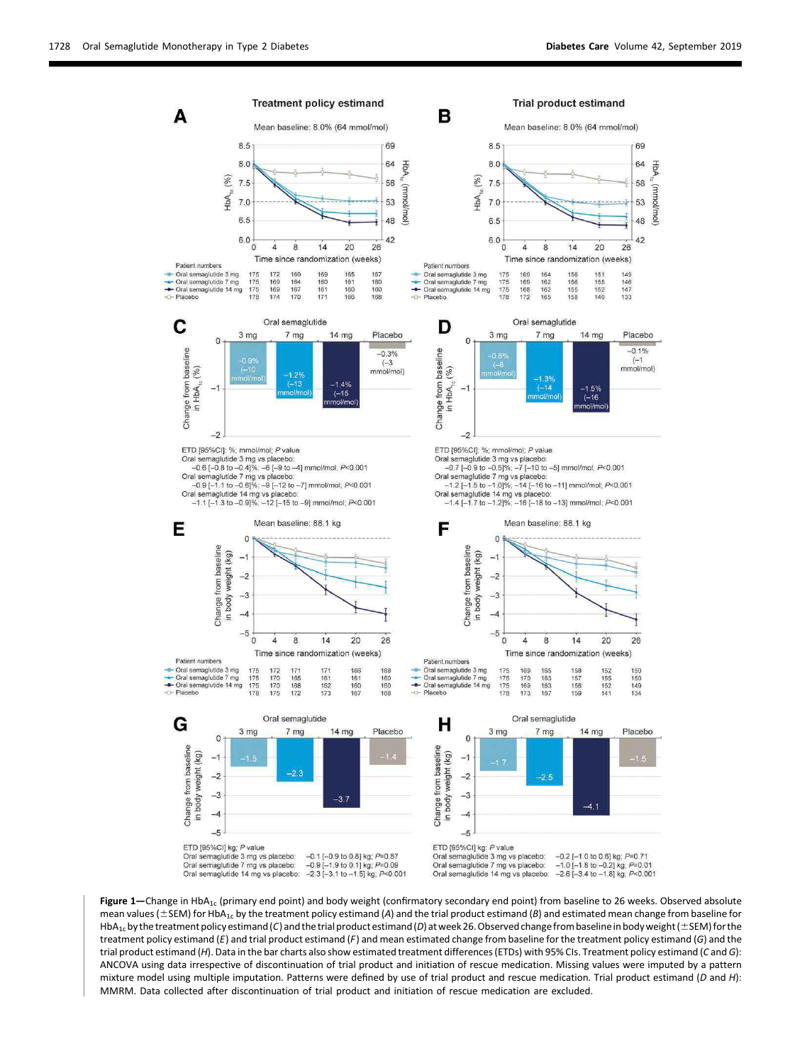

Figure 1—Change in HbA<sub>1c</sub> (primary end point) and body weight (confirmatory secondary end point) from baseline to 26 weeks. Observed absolute mean values ( $\pm$ SEM) for HbA<sub>1c</sub> by the treatment policy estimand (A) and the trial product estimand (B) and estimated mean change from baseline for HbA<sub>1c</sub> by the treatment policy estimand (C) and the trial product estimand (D) at week 26. Observed change from baseline in body weight ( $\pm$  SEM) for the treatment policy estimand (E) and trial product estimand (F) and mean estimated change from baseline for the treatment policy estimand (G) and the trial product estimand (H). Data in the bar charts also show estimated treatment differences (ETDs) with 95% CIs. Treatment policy estimand (C and G): ANCOVA using data irrespective of discontinuation of trial product and initiation of rescue medication. Missing values were imputed by a pattern mixture model using multiple imputation. Patterns were defined by use of trial product and rescue medication. Trial product estimand (D and H): MMRM. Data collected after discontinuation of trial product and initiation of rescue medication are excluded.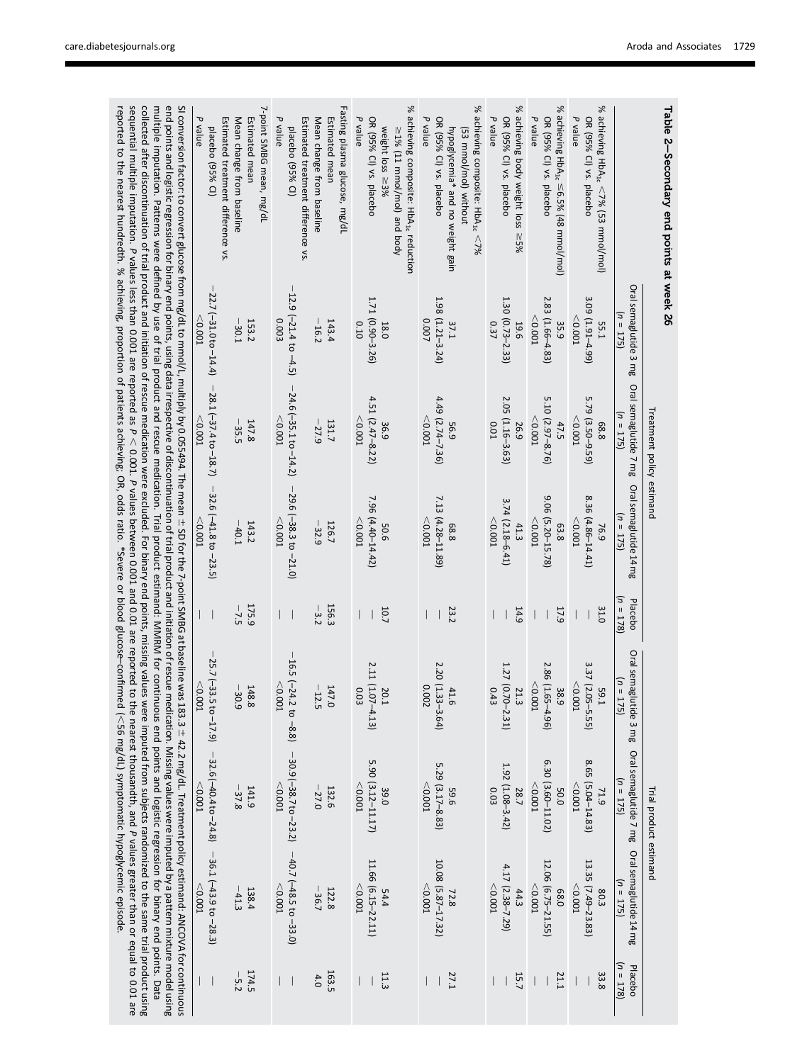| Table 2-Secondary end points at week 26                                                                                                                                                                                                                                                                                                                                                                                                                                                                                                                                                                                              |                                                              | Treatment policy estimand                              |                                                               |                                                              |                                                  | Trial product estimand                                                                                                             |                                                          |                                       |
|--------------------------------------------------------------------------------------------------------------------------------------------------------------------------------------------------------------------------------------------------------------------------------------------------------------------------------------------------------------------------------------------------------------------------------------------------------------------------------------------------------------------------------------------------------------------------------------------------------------------------------------|--------------------------------------------------------------|--------------------------------------------------------|---------------------------------------------------------------|--------------------------------------------------------------|--------------------------------------------------|------------------------------------------------------------------------------------------------------------------------------------|----------------------------------------------------------|---------------------------------------|
|                                                                                                                                                                                                                                                                                                                                                                                                                                                                                                                                                                                                                                      | Oral semaglutide 3 mg<br>$n = 175$                           | Oral semaglutide 7 mg<br>$(1) = 175$                   | Oral semaglutide 14 mg<br>$n = 175$                           | $n = 178$<br>Placebo                                         | Oral semagli<br>$\equiv u$<br>175)<br>utide 3 mg | Oral semaglutide 7 mg<br>$(n = 175)$                                                                                               | Oral semaglutide 14 mg<br>$(1) = 175$                    | $(1) = 178$<br>Placebo                |
| ℅<br>achieving HbA <sub>1c</sub> <7% (53 mmol/mol)<br>P value<br>OR (95% CI) vs. placebo                                                                                                                                                                                                                                                                                                                                                                                                                                                                                                                                             | 3.09 (1.91-4.99)<br>< 0.001<br><b>55.1</b>                   | 5.79 (3.50-9.59)<br>< 0.001<br>68.8                    | 8.36 (4.86-14.41)<br>< 0.001<br>76.9                          | 31.0<br>$\overline{\phantom{a}}$                             | 3.37 (2.05-5.55)<br>< 0.001<br><b>1'65</b>       | 8.65 (5.04-14.83)<br>< 0.001<br>71.9                                                                                               | 13.35 (7.49-23.83)<br>< 0.001<br>80.3                    | 33.8                                  |
| ৡ<br>achieving Hb $A_{1c} \leq 6.5\%$ (48 mmol/mol)<br>P value<br>OR (95% CI) vs. placebo                                                                                                                                                                                                                                                                                                                                                                                                                                                                                                                                            | 2.83 (1.66-4.83)<br>< 0.001<br>35.9                          | 5.10 (2.97-8.76)<br>$<$ 0.001<br>47.5                  | 906<br>$(5.20 - 15.78)$<br>$<$ 0.001<br>63.8                  | 17.9<br>$\overline{\phantom{a}}$<br>$\overline{\phantom{a}}$ | 2.86 (1.65-4.96)<br>$<$ 0.001 $\,$<br>38.9       | 6.30 (3.60-11.02)<br>< 0.001<br>50.0                                                                                               | 12.06 (6.75-21.55)<br>$<$ 0.001<br>68.0                  | 21.1                                  |
| % achieving body weight loss<br>P value<br>OR (95% CI) vs. placebo<br>${}^{55\%}$                                                                                                                                                                                                                                                                                                                                                                                                                                                                                                                                                    | 1.30 (0.73-2.33)<br>19.6<br>0.37                             | 2.05 (1.16-3.63)<br><b>0.01</b><br>26.9                | 3.74 (2.18-6.41)<br>$<$ 0.001<br>41.3                         | 14.9                                                         | 1.27 (0.70-2.31)<br>21.3<br>0.43                 | 1.92 (1.08-3.42)<br>0.03<br>28.7                                                                                                   | 4.17 (2.38-7.29)<br>< 0.001<br>44.3                      | 15.7                                  |
| ৯<br>achieving composite: HbA <sub>1c</sub><br>OR (95% CI) vs. placebo<br>P value<br>hypoglycemia* and no weight gain<br>(53 mmol/mol) without<br>$52\%$                                                                                                                                                                                                                                                                                                                                                                                                                                                                             | 1.98 (1.21-3.24)<br>0.007<br><b>37.1</b>                     | $4.49(2.74 - 7.36)$<br>$<$ 0.001<br>6'95               | 7.13 (4.28-11.89)<br>$<$ 0.001<br>8.8                         | 23.2<br>I                                                    | 2.20 (1.33-3.64)<br>0.002<br>41.6                | 5.29 (3.17-8.83)<br>< 0.001<br>9'65                                                                                                | 10.08 (5.87-17.32)<br>$<$ 0.001<br>72.8                  | 27.1<br>$\mathsf{I}$                  |
| $\%$<br>achieving composite: HbA <sub>1c</sub> reduction<br>P value<br>OR (95% CI) vs. placebo<br>weight loss ≥3%<br>≥1% (11 mmol/mol) and body                                                                                                                                                                                                                                                                                                                                                                                                                                                                                      | 1.71 (0.90-3.26)<br>0.10<br>18.0                             | $4.51(2.47 - 8.22)$<br>$<$ 0.001<br>36.9               | 7.96 (4.40-14.42)<br>< 0.001<br>50.6                          | 10.7<br>$\overline{\phantom{a}}$<br>I                        | 2.11 (1.07-4.13)<br>0.03<br>20.                  | 5.90 (3.12-11.17)<br>$<$ 0.001<br>39.0                                                                                             | 11.66 (6.15-22.11)<br>$<$ 0.001<br>54.4                  | 11.3<br>$\overline{\phantom{a}}$      |
| Fasting plasma glucose, mg/dl<br><b>Estimated mean</b><br>P value<br>Estimated treatment difference vs.<br>Mean change from baseline<br>blacebo (95% CI)                                                                                                                                                                                                                                                                                                                                                                                                                                                                             | 12.9 $(-21.4 \text{ to } -4.5)$<br>0.003<br>143.4<br>$-16.2$ | $-24.6(-35.1 to -14.2)$<br>< 0.001<br>131.7<br>$-27.9$ | $-29.6$ ( $-38.3$ to $-21.0$ )<br>< 0.001<br>126.7<br>$-32.9$ | 156.3<br>$-3.2$<br>I<br>$\blacksquare$                       | $<$ 0.001<br>$147.0$<br>-12.5                    | 16.5 $(-24.2 \text{ to } -8.8)$ -30.9 $(-38.7 \text{ to } -23.2)$ -40.7 $(-48.5 \text{ to } -33.0)$<br>< 0.001<br>132.6<br>$-27.0$ | < 0.001<br>122.8<br>$-36.7$                              | <b>163.5</b><br>4.0<br>L<br>$\bigcap$ |
| 7-point SMBG mean, mg/dL<br>᠊ᢦ<br>Estimated mean<br>Estimated treatment difference vs.<br>Mean change from baseline<br>value<br>placebo (95% CI)                                                                                                                                                                                                                                                                                                                                                                                                                                                                                     | 22.7 (-31.0 to -14.4)<br>153.2<br>(0.001<br>$-30.1$          | $-28.1(-37.4$ to $-18.7)$<br>147.8<br>$-35.5$<br>0.001 | $-32.6$ ( $-41.8$ to $-23.5$ )<br>< 0.001<br>$-40.1$<br>143.2 | 175.9<br>$-7.5$<br>$\overline{\phantom{a}}$                  | $\vert$<br>< 0.001<br>$-30.9$<br>148.8           | 25.7 (-33.5 to -17.9) $-32.6$ (-40.4 to -24.8)<br>$-0.001$<br>141.9<br>$-37.8$                                                     | $-36.1(-43.9$ to $-28.3)$<br>< 0.001<br>138.4<br>$-41.3$ | 174.5<br>$-5.2$<br>- 1<br>I           |
| SI conversion factor: to convert glucose from mg/L, multiply by 0.055494. The mean ± SD for the 7-point SMBG at baseline was 183.3 ± 42.2 mg/dL. Treatment policy estimand: ANCOVA for continuous<br>multiple imputation. Patterns were defined by use of trial product and rescue medication. Trial product estimand: MMRM for continuous end points and logistic regression for binary end points. Data<br>end points and logistic regression for binary end points, using data irrespective of discontinuation of trial product and initiation of rescue medication. Missing values were imputed by a pattern mixture model using |                                                              |                                                        |                                                               |                                                              |                                                  |                                                                                                                                    |                                                          |                                       |

reported to the nearest hundredth. % achieving, proportion of patients achieving; OR, odds ratio. \*Severe or blood glucose

–confirmed ( $<$ 

56 mg/dL) symptomatic hypoglycemic episode.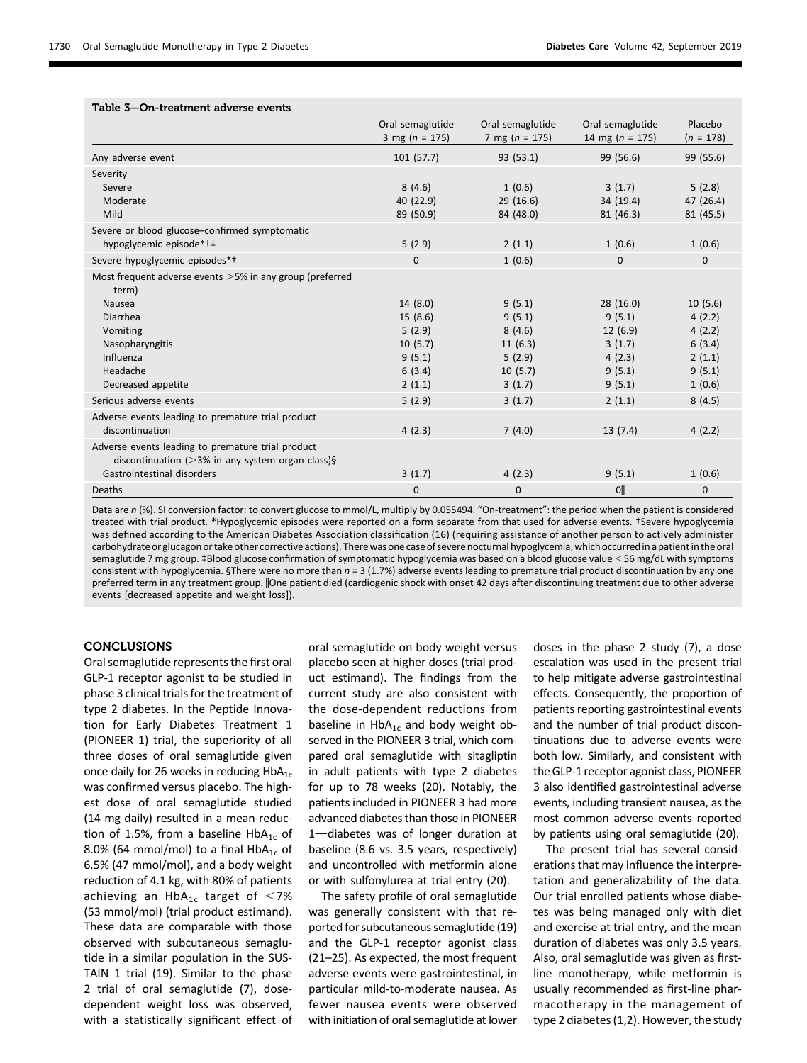| Table 3-On-treatment adverse events                                                                       |                                        |                                        |                                         |                        |
|-----------------------------------------------------------------------------------------------------------|----------------------------------------|----------------------------------------|-----------------------------------------|------------------------|
|                                                                                                           | Oral semaglutide<br>3 mg ( $n = 175$ ) | Oral semaglutide<br>7 mg ( $n = 175$ ) | Oral semaglutide<br>14 mg ( $n = 175$ ) | Placebo<br>$(n = 178)$ |
| Any adverse event                                                                                         | 101(57.7)                              | 93 (53.1)                              | 99 (56.6)                               | 99 (55.6)              |
| Severity                                                                                                  |                                        |                                        |                                         |                        |
| Severe                                                                                                    | 8(4.6)                                 | 1(0.6)                                 | 3(1.7)                                  | 5(2.8)                 |
| Moderate                                                                                                  | 40 (22.9)                              | 29(16.6)                               | 34 (19.4)                               | 47 (26.4)              |
| Mild                                                                                                      | 89 (50.9)                              | 84 (48.0)                              | 81 (46.3)                               | 81 (45.5)              |
| Severe or blood glucose-confirmed symptomatic                                                             |                                        |                                        |                                         |                        |
| hypoglycemic episode*†‡                                                                                   | 5(2.9)                                 | 2(1.1)                                 | 1(0.6)                                  | 1(0.6)                 |
| Severe hypoglycemic episodes*+                                                                            | $\mathbf 0$                            | 1(0.6)                                 | $\mathbf{0}$                            | $\mathbf 0$            |
| Most frequent adverse events $>5\%$ in any group (preferred<br>term)                                      |                                        |                                        |                                         |                        |
| Nausea                                                                                                    | 14(8.0)                                | 9(5.1)                                 | 28(16.0)                                | 10(5.6)                |
| Diarrhea                                                                                                  | 15(8.6)                                | 9(5.1)                                 | 9(5.1)                                  | 4(2.2)                 |
| Vomiting                                                                                                  | 5(2.9)                                 | 8(4.6)                                 | 12(6.9)                                 | 4(2.2)                 |
| Nasopharyngitis                                                                                           | 10(5.7)                                | 11(6.3)                                | 3(1.7)                                  | 6(3.4)                 |
| Influenza                                                                                                 | 9(5.1)                                 | 5(2.9)                                 | 4(2.3)                                  | 2(1.1)                 |
| Headache                                                                                                  | 6(3.4)                                 | 10(5.7)                                | 9(5.1)                                  | 9(5.1)                 |
| Decreased appetite                                                                                        | 2(1.1)                                 | 3(1.7)                                 | 9(5.1)                                  | 1(0.6)                 |
| Serious adverse events                                                                                    | 5(2.9)                                 | 3(1.7)                                 | 2(1.1)                                  | 8(4.5)                 |
| Adverse events leading to premature trial product                                                         |                                        |                                        |                                         |                        |
| discontinuation                                                                                           | 4(2.3)                                 | 7(4.0)                                 | 13(7.4)                                 | 4(2.2)                 |
| Adverse events leading to premature trial product<br>discontinuation ( $>3\%$ in any system organ class)§ |                                        |                                        |                                         |                        |
| Gastrointestinal disorders                                                                                | 3(1.7)                                 | 4(2.3)                                 | 9(5.1)                                  | 1(0.6)                 |
| Deaths                                                                                                    | $\Omega$                               | $\Omega$                               | Oll                                     | $\Omega$               |

Data are n (%). SI conversion factor: to convert glucose to mmol/L, multiply by 0.055494. "On-treatment": the period when the patient is considered treated with trial product. \*Hypoglycemic episodes were reported on a form separate from that used for adverse events. †Severe hypoglycemia was defined according to the American Diabetes Association classification (16) (requiring assistance of another person to actively administer carbohydrate or glucagon or take other corrective actions). There was one case of severe nocturnal hypoglycemia, which occurred in a patient in the oral semaglutide 7 mg group. ‡Blood glucose confirmation of symptomatic hypoglycemia was based on a blood glucose value <56 mg/dL with symptoms consistent with hypoglycemia. §There were no more than  $n = 3 (1.7%)$  adverse events leading to premature trial product discontinuation by any one preferred term in any treatment group. |One patient died (cardiogenic shock with onset 42 days after discontinuing treatment due to other adverse

events [decreased appetite and weight loss]).

## **CONCLUSIONS**

Oral semaglutide represents the first oral GLP-1 receptor agonist to be studied in phase 3 clinical trials for the treatment of type 2 diabetes. In the Peptide Innovation for Early Diabetes Treatment 1 (PIONEER 1) trial, the superiority of all three doses of oral semaglutide given once daily for 26 weeks in reducing  $HbA_{1c}$ was confirmed versus placebo. The highest dose of oral semaglutide studied (14 mg daily) resulted in a mean reduction of 1.5%, from a baseline  $HbA_{1c}$  of 8.0% (64 mmol/mol) to a final  $HbA_{1c}$  of 6.5% (47 mmol/mol), and a body weight reduction of 4.1 kg, with 80% of patients achieving an  $HbA_{1c}$  target of <7% (53 mmol/mol) (trial product estimand). These data are comparable with those observed with subcutaneous semaglutide in a similar population in the SUS-TAIN 1 trial (19). Similar to the phase 2 trial of oral semaglutide (7), dosedependent weight loss was observed, with a statistically significant effect of

oral semaglutide on body weight versus placebo seen at higher doses (trial product estimand). The findings from the current study are also consistent with the dose-dependent reductions from baseline in  $HbA_{1c}$  and body weight observed in the PIONEER 3 trial, which compared oral semaglutide with sitagliptin in adult patients with type 2 diabetes for up to 78 weeks (20). Notably, the patients included in PIONEER 3 had more advanced diabetes than those in PIONEER  $1$ -diabetes was of longer duration at baseline (8.6 vs. 3.5 years, respectively) and uncontrolled with metformin alone or with sulfonylurea at trial entry (20).

The safety profile of oral semaglutide was generally consistent with that reported for subcutaneous semaglutide (19) and the GLP-1 receptor agonist class (21–25). As expected, the most frequent adverse events were gastrointestinal, in particular mild-to-moderate nausea. As fewer nausea events were observed with initiation of oral semaglutide at lower doses in the phase 2 study (7), a dose escalation was used in the present trial to help mitigate adverse gastrointestinal effects. Consequently, the proportion of patients reporting gastrointestinal events and the number of trial product discontinuations due to adverse events were both low. Similarly, and consistent with the GLP-1 receptor agonist class, PIONEER 3 also identified gastrointestinal adverse events, including transient nausea, as the most common adverse events reported by patients using oral semaglutide (20).

The present trial has several considerations that may influence the interpretation and generalizability of the data. Our trial enrolled patients whose diabetes was being managed only with diet and exercise at trial entry, and the mean duration of diabetes was only 3.5 years. Also, oral semaglutide was given as firstline monotherapy, while metformin is usually recommended as first-line pharmacotherapy in the management of type 2 diabetes (1,2). However, the study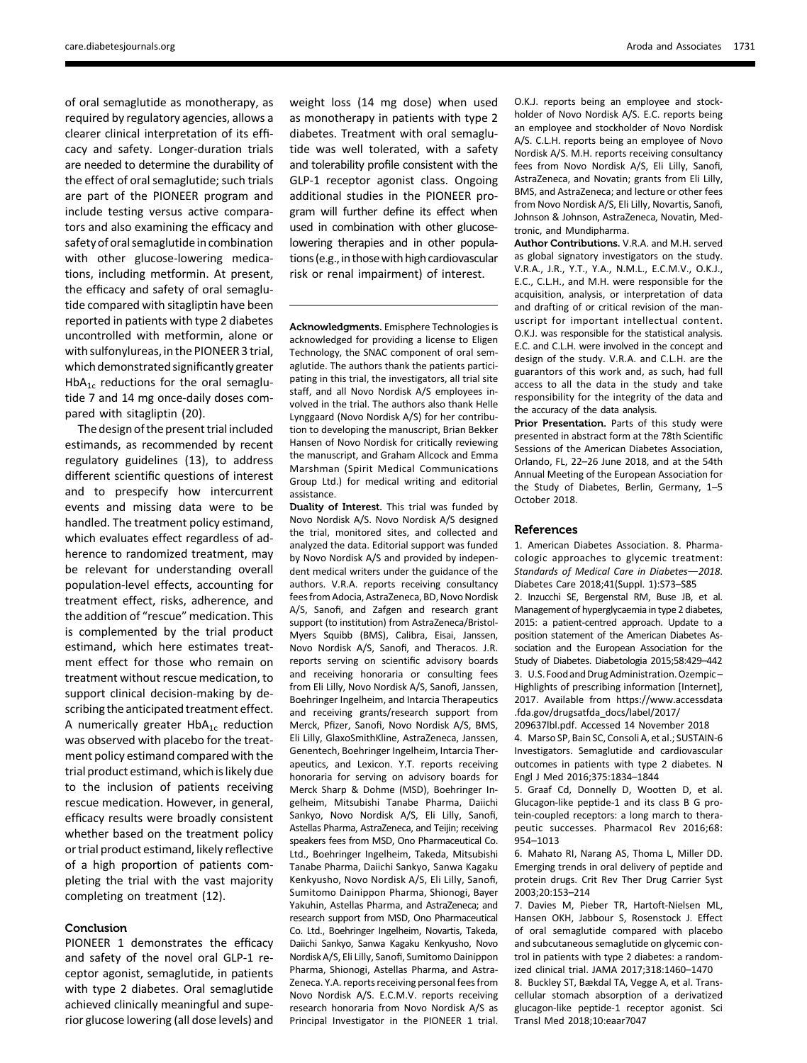of oral semaglutide as monotherapy, as required by regulatory agencies, allows a clearer clinical interpretation of its efficacy and safety. Longer-duration trials are needed to determine the durability of the effect of oral semaglutide; such trials are part of the PIONEER program and include testing versus active comparators and also examining the efficacy and safety of oral semaglutide in combination with other glucose-lowering medications, including metformin. At present, the efficacy and safety of oral semaglutide compared with sitagliptin have been reported in patients with type 2 diabetes uncontrolled with metformin, alone or with sulfonylureas, in the PIONEER 3 trial, which demonstrated significantly greater HbA<sub>1c</sub> reductions for the oral semaglutide 7 and 14 mg once-daily doses compared with sitagliptin (20).

The design of the present trial included estimands, as recommended by recent regulatory guidelines (13), to address different scientific questions of interest and to prespecify how intercurrent events and missing data were to be handled. The treatment policy estimand, which evaluates effect regardless of adherence to randomized treatment, may be relevant for understanding overall population-level effects, accounting for treatment effect, risks, adherence, and the addition of "rescue" medication. This is complemented by the trial product estimand, which here estimates treatment effect for those who remain on treatment without rescue medication, to support clinical decision-making by describing the anticipated treatment effect. A numerically greater  $HbA_{1c}$  reduction was observed with placebo for the treatment policy estimand compared with the trial product estimand, which is likely due to the inclusion of patients receiving rescue medication. However, in general, efficacy results were broadly consistent whether based on the treatment policy or trial product estimand, likely reflective of a high proportion of patients completing the trial with the vast majority completing on treatment (12).

### Conclusion

PIONEER 1 demonstrates the efficacy and safety of the novel oral GLP-1 receptor agonist, semaglutide, in patients with type 2 diabetes. Oral semaglutide achieved clinically meaningful and superior glucose lowering (all dose levels) and

weight loss (14 mg dose) when used as monotherapy in patients with type 2 diabetes. Treatment with oral semaglutide was well tolerated, with a safety and tolerability profile consistent with the GLP-1 receptor agonist class. Ongoing additional studies in the PIONEER program will further define its effect when used in combination with other glucoselowering therapies and in other populations (e.g., in those with high cardiovascular risk or renal impairment) of interest.

Acknowledgments. Emisphere Technologies is acknowledged for providing a license to Eligen Technology, the SNAC component of oral semaglutide. The authors thank the patients participating in this trial, the investigators, all trial site staff, and all Novo Nordisk A/S employees involved in the trial. The authors also thank Helle Lynggaard (Novo Nordisk A/S) for her contribution to developing the manuscript, Brian Bekker Hansen of Novo Nordisk for critically reviewing the manuscript, and Graham Allcock and Emma Marshman (Spirit Medical Communications Group Ltd.) for medical writing and editorial assistance.

Duality of Interest. This trial was funded by Novo Nordisk A/S. Novo Nordisk A/S designed the trial, monitored sites, and collected and analyzed the data. Editorial support was funded by Novo Nordisk A/S and provided by independent medical writers under the guidance of the authors. V.R.A. reports receiving consultancy fees from Adocia, AstraZeneca, BD, Novo Nordisk A/S, Sanofi, and Zafgen and research grant support (to institution) from AstraZeneca/Bristol-Myers Squibb (BMS), Calibra, Eisai, Janssen, Novo Nordisk A/S, Sanofi, and Theracos. J.R. reports serving on scientific advisory boards and receiving honoraria or consulting fees from Eli Lilly, Novo Nordisk A/S, Sanofi, Janssen, Boehringer Ingelheim, and Intarcia Therapeutics and receiving grants/research support from Merck, Pfizer, Sanofi, Novo Nordisk A/S, BMS, Eli Lilly, GlaxoSmithKline, AstraZeneca, Janssen, Genentech, Boehringer Ingelheim, Intarcia Therapeutics, and Lexicon. Y.T. reports receiving honoraria for serving on advisory boards for Merck Sharp & Dohme (MSD), Boehringer Ingelheim, Mitsubishi Tanabe Pharma, Daiichi Sankyo, Novo Nordisk A/S, Eli Lilly, Sanofi, Astellas Pharma, AstraZeneca, and Teijin; receiving speakers fees from MSD, Ono Pharmaceutical Co. Ltd., Boehringer Ingelheim, Takeda, Mitsubishi Tanabe Pharma, Daiichi Sankyo, Sanwa Kagaku Kenkyusho, Novo Nordisk A/S, Eli Lilly, Sanofi, Sumitomo Dainippon Pharma, Shionogi, Bayer Yakuhin, Astellas Pharma, and AstraZeneca; and research support from MSD, Ono Pharmaceutical Co. Ltd., Boehringer Ingelheim, Novartis, Takeda, Daiichi Sankyo, Sanwa Kagaku Kenkyusho, Novo Nordisk A/S, Eli Lilly, Sanofi, Sumitomo Dainippon Pharma, Shionogi, Astellas Pharma, and Astra-Zeneca. Y.A. reports receiving personal fees from Novo Nordisk A/S. E.C.M.V. reports receiving research honoraria from Novo Nordisk A/S as Principal Investigator in the PIONEER 1 trial.

O.K.J. reports being an employee and stockholder of Novo Nordisk A/S. E.C. reports being an employee and stockholder of Novo Nordisk A/S. C.L.H. reports being an employee of Novo Nordisk A/S. M.H. reports receiving consultancy fees from Novo Nordisk A/S, Eli Lilly, Sanofi, AstraZeneca, and Novatin; grants from Eli Lilly, BMS, and AstraZeneca; and lecture or other fees from Novo Nordisk A/S, Eli Lilly, Novartis, Sanofi, Johnson & Johnson, AstraZeneca, Novatin, Medtronic, and Mundipharma.

Author Contributions. V.R.A. and M.H. served as global signatory investigators on the study. V.R.A., J.R., Y.T., Y.A., N.M.L., E.C.M.V., O.K.J., E.C., C.L.H., and M.H. were responsible for the acquisition, analysis, or interpretation of data and drafting of or critical revision of the manuscript for important intellectual content. O.K.J. was responsible for the statistical analysis. E.C. and C.L.H. were involved in the concept and design of the study. V.R.A. and C.L.H. are the guarantors of this work and, as such, had full access to all the data in the study and take responsibility for the integrity of the data and the accuracy of the data analysis.

Prior Presentation. Parts of this study were presented in abstract form at the 78th Scientific Sessions of the American Diabetes Association, Orlando, FL, 22–26 June 2018, and at the 54th Annual Meeting of the European Association for the Study of Diabetes, Berlin, Germany, 1–5 October 2018.

#### References

1. American Diabetes Association. 8. Pharmacologic approaches to glycemic treatment: Standards of Medical Care in Diabetes-2018. Diabetes Care 2018;41(Suppl. 1):S73–S85

2. Inzucchi SE, Bergenstal RM, Buse JB, et al. Management of hyperglycaemia in type 2 diabetes, 2015: a patient-centred approach. Update to a position statement of the American Diabetes Association and the European Association for the Study of Diabetes. Diabetologia 2015;58:429–442 3. U.S. Food andDrug Administration.Ozempic – Highlights of prescribing information [Internet], 2017. Available from https://www.accessdata .fda.gov/drugsatfda\_docs/label/2017/

209637lbl.pdf. Accessed 14 November 2018 4. Marso SP, Bain SC, Consoli A, et al.; SUSTAIN-6 Investigators. Semaglutide and cardiovascular outcomes in patients with type 2 diabetes. N Engl J Med 2016;375:1834–1844

5. Graaf Cd, Donnelly D, Wootten D, et al. Glucagon-like peptide-1 and its class B G protein-coupled receptors: a long march to therapeutic successes. Pharmacol Rev 2016;68: 954–1013

6. Mahato RI, Narang AS, Thoma L, Miller DD. Emerging trends in oral delivery of peptide and protein drugs. Crit Rev Ther Drug Carrier Syst 2003;20:153–214

7. Davies M, Pieber TR, Hartoft-Nielsen ML, Hansen OKH, Jabbour S, Rosenstock J. Effect of oral semaglutide compared with placebo and subcutaneous semaglutide on glycemic control in patients with type 2 diabetes: a randomized clinical trial. JAMA 2017;318:1460–1470

8. Buckley ST, Bækdal TA, Vegge A, et al. Transcellular stomach absorption of a derivatized glucagon-like peptide-1 receptor agonist. Sci Transl Med 2018;10:eaar7047